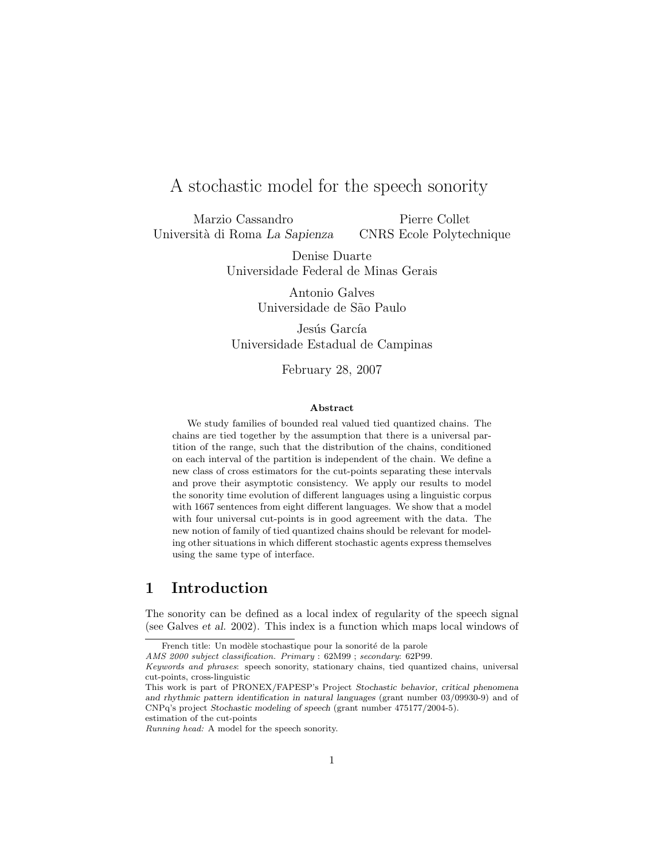# A stochastic model for the speech sonority

Marzio Cassandro Università di Roma La Sapienza

Pierre Collet CNRS Ecole Polytechnique

Denise Duarte Universidade Federal de Minas Gerais

> Antonio Galves Universidade de S˜ao Paulo

Jesús García Universidade Estadual de Campinas

February 28, 2007

#### Abstract

We study families of bounded real valued tied quantized chains. The chains are tied together by the assumption that there is a universal partition of the range, such that the distribution of the chains, conditioned on each interval of the partition is independent of the chain. We define a new class of cross estimators for the cut-points separating these intervals and prove their asymptotic consistency. We apply our results to model the sonority time evolution of different languages using a linguistic corpus with 1667 sentences from eight different languages. We show that a model with four universal cut-points is in good agreement with the data. The new notion of family of tied quantized chains should be relevant for modeling other situations in which different stochastic agents express themselves using the same type of interface.

### 1 Introduction

The sonority can be defined as a local index of regularity of the speech signal (see Galves et al. 2002). This index is a function which maps local windows of

French title: Un modèle stochastique pour la sonorité de la parole

AMS 2000 subject classification. Primary : 62M99 ; secondary: 62P99.

Keywords and phrases: speech sonority, stationary chains, tied quantized chains, universal cut-points, cross-linguistic

This work is part of PRONEX/FAPESP's Project Stochastic behavior, critical phenomena and rhythmic pattern identification in natural languages (grant number 03/09930-9) and of CNPq's project Stochastic modeling of speech (grant number 475177/2004-5).

estimation of the cut-points

Running head: A model for the speech sonority.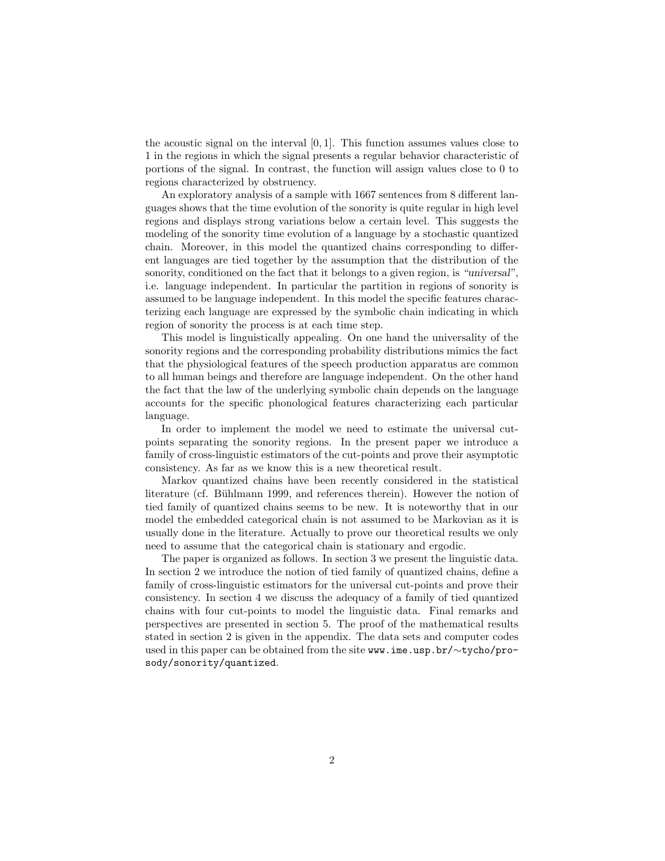the acoustic signal on the interval  $[0, 1]$ . This function assumes values close to 1 in the regions in which the signal presents a regular behavior characteristic of portions of the signal. In contrast, the function will assign values close to 0 to regions characterized by obstruency.

An exploratory analysis of a sample with 1667 sentences from 8 different languages shows that the time evolution of the sonority is quite regular in high level regions and displays strong variations below a certain level. This suggests the modeling of the sonority time evolution of a language by a stochastic quantized chain. Moreover, in this model the quantized chains corresponding to different languages are tied together by the assumption that the distribution of the sonority, conditioned on the fact that it belongs to a given region, is "universal", i.e. language independent. In particular the partition in regions of sonority is assumed to be language independent. In this model the specific features characterizing each language are expressed by the symbolic chain indicating in which region of sonority the process is at each time step.

This model is linguistically appealing. On one hand the universality of the sonority regions and the corresponding probability distributions mimics the fact that the physiological features of the speech production apparatus are common to all human beings and therefore are language independent. On the other hand the fact that the law of the underlying symbolic chain depends on the language accounts for the specific phonological features characterizing each particular language.

In order to implement the model we need to estimate the universal cutpoints separating the sonority regions. In the present paper we introduce a family of cross-linguistic estimators of the cut-points and prove their asymptotic consistency. As far as we know this is a new theoretical result.

Markov quantized chains have been recently considered in the statistical literature (cf. Bühlmann 1999, and references therein). However the notion of tied family of quantized chains seems to be new. It is noteworthy that in our model the embedded categorical chain is not assumed to be Markovian as it is usually done in the literature. Actually to prove our theoretical results we only need to assume that the categorical chain is stationary and ergodic.

The paper is organized as follows. In section 3 we present the linguistic data. In section 2 we introduce the notion of tied family of quantized chains, define a family of cross-linguistic estimators for the universal cut-points and prove their consistency. In section 4 we discuss the adequacy of a family of tied quantized chains with four cut-points to model the linguistic data. Final remarks and perspectives are presented in section 5. The proof of the mathematical results stated in section 2 is given in the appendix. The data sets and computer codes used in this paper can be obtained from the site www.ime.usp.br/∼tycho/prosody/sonority/quantized.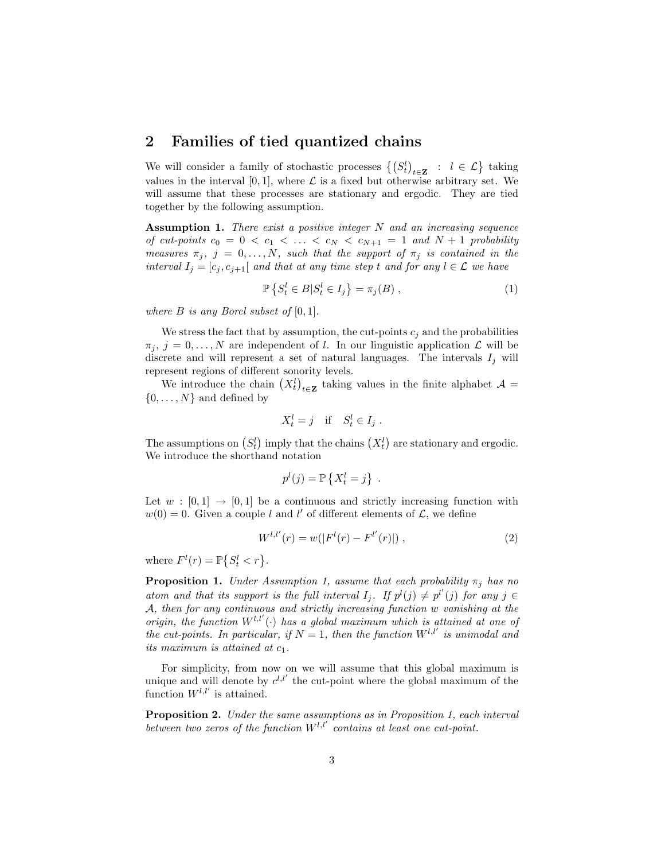### 2 Families of tied quantized chains

We will consider a family of stochastic processes  $\left\{ \left( S^l_t \right)_{t \in \mathbf{Z}} : l \in \mathcal{L} \right\}$  taking values in the interval [0, 1], where  $\mathcal L$  is a fixed but otherwise arbitrary set. We will assume that these processes are stationary and ergodic. They are tied together by the following assumption.

Assumption 1. There exist a positive integer  $N$  and an increasing sequence of cut-points  $c_0 = 0 < c_1 < \ldots < c_N < c_{N+1} = 1$  and  $N+1$  probability measures  $\pi_j$ ,  $j = 0, \ldots, N$ , such that the support of  $\pi_j$  is contained in the interval  $I_j = [c_j, c_{j+1}]$  and that at any time step t and for any  $l \in \mathcal{L}$  we have

$$
\mathbb{P}\left\{S_t^l \in B | S_t^l \in I_j\right\} = \pi_j(B) ,\tag{1}
$$

where  $B$  is any Borel subset of  $[0, 1]$ .

We stress the fact that by assumption, the cut-points  $c_i$  and the probabilities  $\pi_j, j = 0, \ldots, N$  are independent of l. In our linguistic application  $\mathcal L$  will be discrete and will represent a set of natural languages. The intervals  $I_i$  will represent regions of different sonority levels.

We introduce the chain  $(X_t^l)_{t\in\mathbf{Z}}$  taking values in the finite alphabet  $\mathcal{A} =$  $\{0, \ldots, N\}$  and defined by

$$
X_t^l = j \quad \text{if} \quad S_t^l \in I_j \; .
$$

The assumptions on  $(S_t^l)$  imply that the chains  $(X_t^l)$  are stationary and ergodic. We introduce the shorthand notation

$$
p^{l}(j) = \mathbb{P}\left\{X_t^l = j\right\}.
$$

Let  $w : [0, 1] \rightarrow [0, 1]$  be a continuous and strictly increasing function with  $w(0) = 0$ . Given a couple l and l' of different elements of  $\mathcal{L}$ , we define

$$
W^{l,l'}(r) = w(|F^l(r) - F^{l'}(r)|), \qquad (2)
$$

where  $F^l(r) = \mathbb{P}\left\{S_t^l < r\right\}$ .

**Proposition 1.** Under Assumption 1, assume that each probability  $\pi_i$  has no atom and that its support is the full interval  $I_j$ . If  $p^l(j) \neq p^{l'}(j)$  for any  $j \in$ A, then for any continuous and strictly increasing function w vanishing at the origin, the function  $W^{l,l'}(\cdot)$  has a global maximum which is attained at one of the cut-points. In particular, if  $N = 1$ , then the function  $W^{l,l'}$  is unimodal and its maximum is attained at  $c_1$ .

For simplicity, from now on we will assume that this global maximum is unique and will denote by  $c^{l,l'}$  the cut-point where the global maximum of the function  $W^{l,l'}$  is attained.

Proposition 2. Under the same assumptions as in Proposition 1, each interval between two zeros of the function  $W^{l,l'}$  contains at least one cut-point.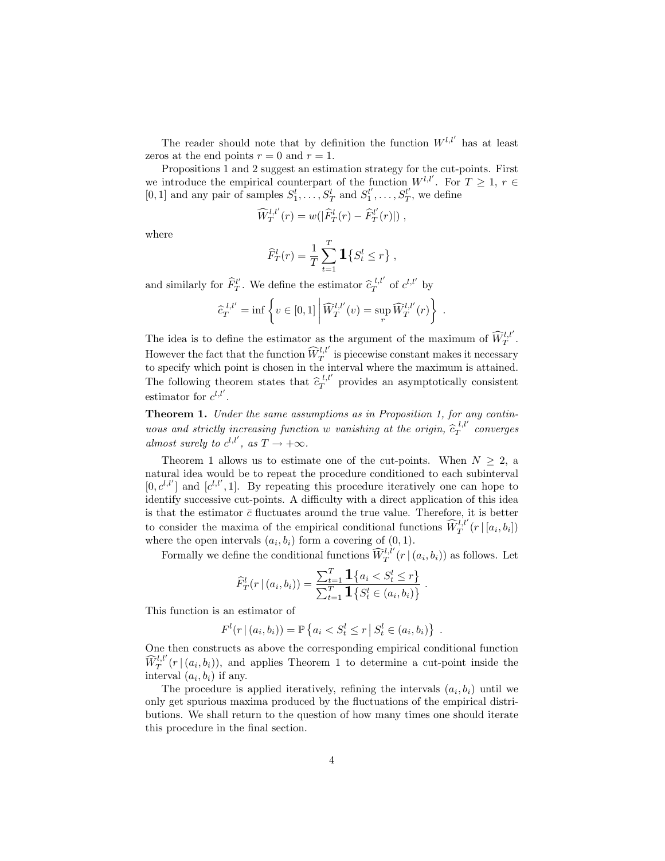The reader should note that by definition the function  $W^{l,l'}$  has at least zeros at the end points  $r = 0$  and  $r = 1$ .

Propositions 1 and 2 suggest an estimation strategy for the cut-points. First we introduce the empirical counterpart of the function  $W^{l,l'}$ . For  $T \geq 1, r \in$ [0, 1] and any pair of samples  $S_1^l, \ldots, S_T^l$  and  $S_1^{l'}, \ldots, S_T^{l'}$ , we define

$$
\widehat{W}_T^{l,l'}(r) = w(|\widehat{F}_T^l(r) - \widehat{F}_T^{l'}(r)|),
$$

where

$$
\widehat{F}_T^l(r) = \frac{1}{T} \sum_{t=1}^T \mathbf{1} \{ S_t^l \le r \},
$$

and similarly for  $\widehat{F}_T^{l'}$ . We define the estimator  $\widehat{c}_T^{l,l'}$  of  $c^{l,l'}$  by

$$
\widehat{c}_T^{l,l'} = \inf \left\{ v \in [0,1] \middle| \widehat{W}_T^{l,l'}(v) = \sup_r \widehat{W}_T^{l,l'}(r) \right\} .
$$

The idea is to define the estimator as the argument of the maximum of  $\widehat{W}^{l,l'}_T$ . However the fact that the function  $\widehat{W}^{l,l'}_{T}$  is piecewise constant makes it necessary to specify which point is chosen in the interval where the maximum is attained. The following theorem states that  $\hat{c}_T^{l,l'}$  provides an asymptotically consistent estimator for  $c^{l,l'}$ .

Theorem 1. Under the same assumptions as in Proposition 1, for any continuous and strictly increasing function w vanishing at the origin,  $\hat{c}_T^{l,l'}$  converges almost surely to  $c^{l,l'}$ , as  $T \to +\infty$ .

Theorem 1 allows us to estimate one of the cut-points. When  $N \geq 2$ , a natural idea would be to repeat the procedure conditioned to each subinterval  $[0, c^{l,l'}]$  and  $[c^{l,l'}, 1]$ . By repeating this procedure iteratively one can hope to identify successive cut-points. A difficulty with a direct application of this idea is that the estimator  $\bar{c}$  fluctuates around the true value. Therefore, it is better to consider the maxima of the empirical conditional functions  $\widehat{W}^{l,l'}_T(r | [a_i, b_i])$ where the open intervals  $(a_i, b_i)$  form a covering of  $(0, 1)$ .

Formally we define the conditional functions  $\widehat{W}^{l,l'}_T(r | (a_i, b_i))$  as follows. Let

$$
\widehat{F}_T^l(r | (a_i, b_i)) = \frac{\sum_{t=1}^T \mathbf{1}\{a_i < S_t^l \leq r\}}{\sum_{t=1}^T \mathbf{1}\{S_t^l \in (a_i, b_i)\}}.
$$

This function is an estimator of

$$
F^{l}(r | (a_{i}, b_{i})) = \mathbb{P}\left\{ a_{i} < S_{t}^{l} \leq r | S_{t}^{l} \in (a_{i}, b_{i}) \right\}
$$

.

One then constructs as above the corresponding empirical conditional function  $\widehat{W}^{l,l'}_{T}(r \mid (a_i, b_i)),$  and applies Theorem 1 to determine a cut-point inside the interval  $(a_i, b_i)$  if any.

The procedure is applied iteratively, refining the intervals  $(a_i, b_i)$  until we only get spurious maxima produced by the fluctuations of the empirical distributions. We shall return to the question of how many times one should iterate this procedure in the final section.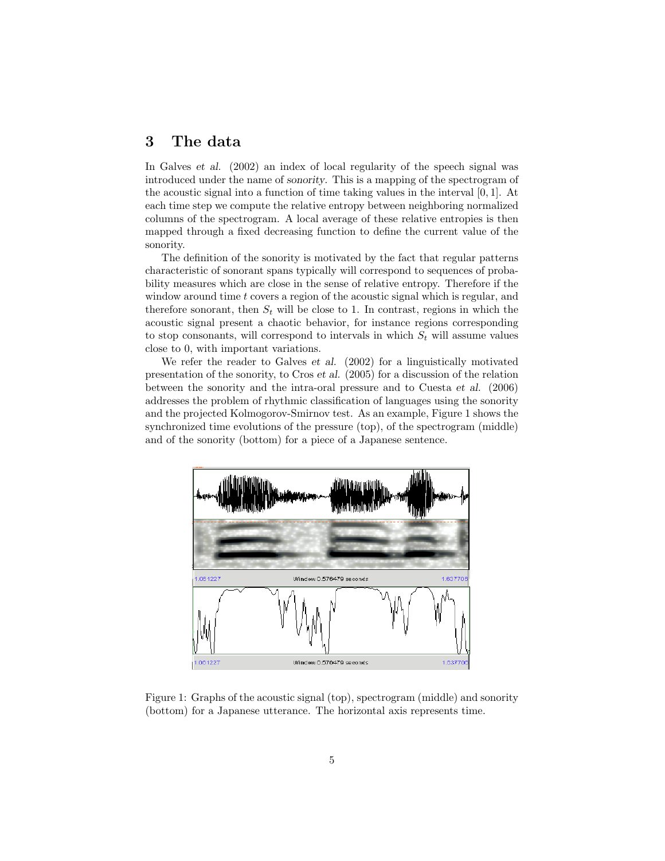### 3 The data

In Galves et al. (2002) an index of local regularity of the speech signal was introduced under the name of sonority. This is a mapping of the spectrogram of the acoustic signal into a function of time taking values in the interval [0, 1]. At each time step we compute the relative entropy between neighboring normalized columns of the spectrogram. A local average of these relative entropies is then mapped through a fixed decreasing function to define the current value of the sonority.

The definition of the sonority is motivated by the fact that regular patterns characteristic of sonorant spans typically will correspond to sequences of probability measures which are close in the sense of relative entropy. Therefore if the window around time t covers a region of the acoustic signal which is regular, and therefore sonorant, then  $S_t$  will be close to 1. In contrast, regions in which the acoustic signal present a chaotic behavior, for instance regions corresponding to stop consonants, will correspond to intervals in which  $S_t$  will assume values close to 0, with important variations.

We refer the reader to Galves et al. (2002) for a linguistically motivated presentation of the sonority, to Cros et al. (2005) for a discussion of the relation between the sonority and the intra-oral pressure and to Cuesta et al. (2006) addresses the problem of rhythmic classification of languages using the sonority and the projected Kolmogorov-Smirnov test. As an example, Figure 1 shows the synchronized time evolutions of the pressure (top), of the spectrogram (middle) and of the sonority (bottom) for a piece of a Japanese sentence.



Figure 1: Graphs of the acoustic signal (top), spectrogram (middle) and sonority (bottom) for a Japanese utterance. The horizontal axis represents time.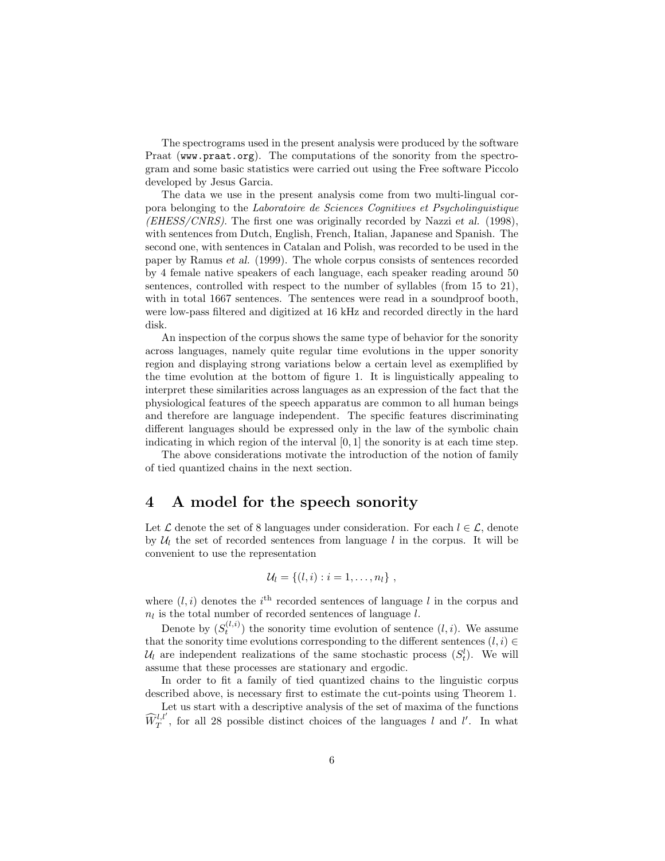The spectrograms used in the present analysis were produced by the software Praat (www.praat.org). The computations of the sonority from the spectrogram and some basic statistics were carried out using the Free software Piccolo developed by Jesus Garcia.

The data we use in the present analysis come from two multi-lingual corpora belonging to the Laboratoire de Sciences Cognitives et Psycholinguistique  $(EHESS/CNRS)$ . The first one was originally recorded by Nazzi et al. (1998), with sentences from Dutch, English, French, Italian, Japanese and Spanish. The second one, with sentences in Catalan and Polish, was recorded to be used in the paper by Ramus et al. (1999). The whole corpus consists of sentences recorded by 4 female native speakers of each language, each speaker reading around 50 sentences, controlled with respect to the number of syllables (from 15 to 21), with in total 1667 sentences. The sentences were read in a soundproof booth, were low-pass filtered and digitized at 16 kHz and recorded directly in the hard disk.

An inspection of the corpus shows the same type of behavior for the sonority across languages, namely quite regular time evolutions in the upper sonority region and displaying strong variations below a certain level as exemplified by the time evolution at the bottom of figure 1. It is linguistically appealing to interpret these similarities across languages as an expression of the fact that the physiological features of the speech apparatus are common to all human beings and therefore are language independent. The specific features discriminating different languages should be expressed only in the law of the symbolic chain indicating in which region of the interval [0, 1] the sonority is at each time step.

The above considerations motivate the introduction of the notion of family of tied quantized chains in the next section.

#### 4 A model for the speech sonority

Let  $\mathcal L$  denote the set of 8 languages under consideration. For each  $l \in \mathcal L$ , denote by  $\mathcal{U}_l$  the set of recorded sentences from language l in the corpus. It will be convenient to use the representation

$$
\mathcal{U}_l = \{(l,i): i = 1,\ldots,n_l\},\,
$$

where  $(l, i)$  denotes the i<sup>th</sup> recorded sentences of language l in the corpus and  $n_l$  is the total number of recorded sentences of language l.

Denote by  $(S_t^{(l,i)})$  the sonority time evolution of sentence  $(l, i)$ . We assume that the sonority time evolutions corresponding to the different sentences  $(l, i) \in$  $\mathcal{U}_l$  are independent realizations of the same stochastic process  $(S_t^l)$ . We will assume that these processes are stationary and ergodic.

In order to fit a family of tied quantized chains to the linguistic corpus described above, is necessary first to estimate the cut-points using Theorem 1.

Let us start with a descriptive analysis of the set of maxima of the functions  $\widehat{W}^{l,l'}_{T}$ , for all 28 possible distinct choices of the languages l and l'. In what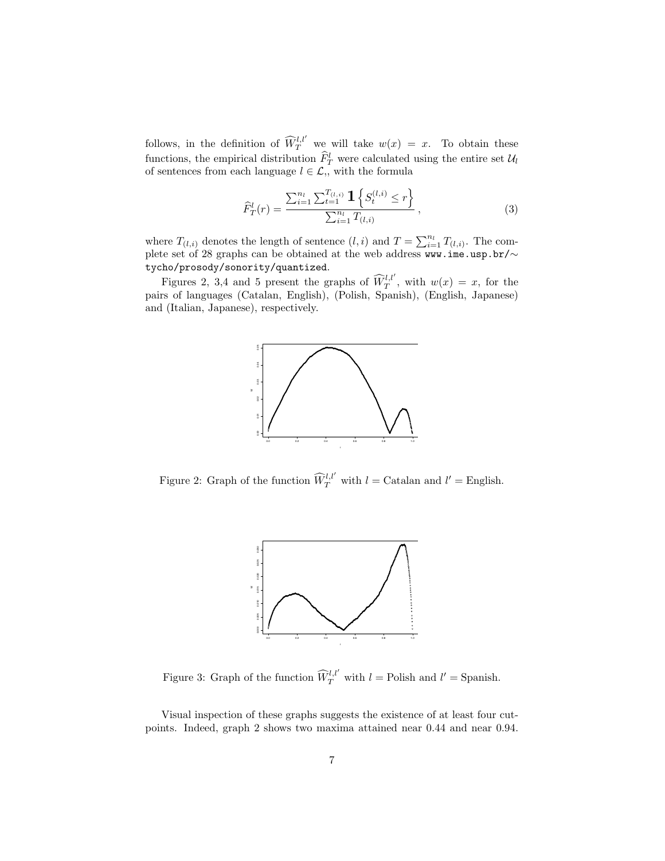follows, in the definition of  $\widehat{W}^{l,l'}_{T}$  we will take  $w(x) = x$ . To obtain these functions, the empirical distribution  $\widehat{F}_T^l$  were calculated using the entire set  $\mathcal{U}_l$ of sentences from each language  $l \in \mathcal{L}$ , with the formula

$$
\widehat{F}_T^l(r) = \frac{\sum_{i=1}^{n_l} \sum_{t=1}^{T_{(l,i)}} \mathbf{1}\left\{S_t^{(l,i)} \le r\right\}}{\sum_{i=1}^{n_l} T_{(l,i)}},\tag{3}
$$

where  $T_{(l,i)}$  denotes the length of sentence  $(l,i)$  and  $T = \sum_{i=1}^{n_l} T_{(l,i)}$ . The complete set of 28 graphs can be obtained at the web address www.ime.usp.br/ $\sim$ tycho/prosody/sonority/quantized.

Figures 2, 3,4 and 5 present the graphs of  $\widehat{W}^{l,l'}_{T}$ , with  $w(x) = x$ , for the pairs of languages (Catalan, English), (Polish, Spanish), (English, Japanese) and (Italian, Japanese), respectively.



Figure 2: Graph of the function  $\widehat{W}^{l,l'}_{T}$  with  $l =$  Catalan and  $l' =$  English.



Figure 3: Graph of the function  $\widehat{W}_T^{l,l'}$  with  $l =$  Polish and  $l' =$  Spanish.

Visual inspection of these graphs suggests the existence of at least four cutpoints. Indeed, graph 2 shows two maxima attained near 0.44 and near 0.94.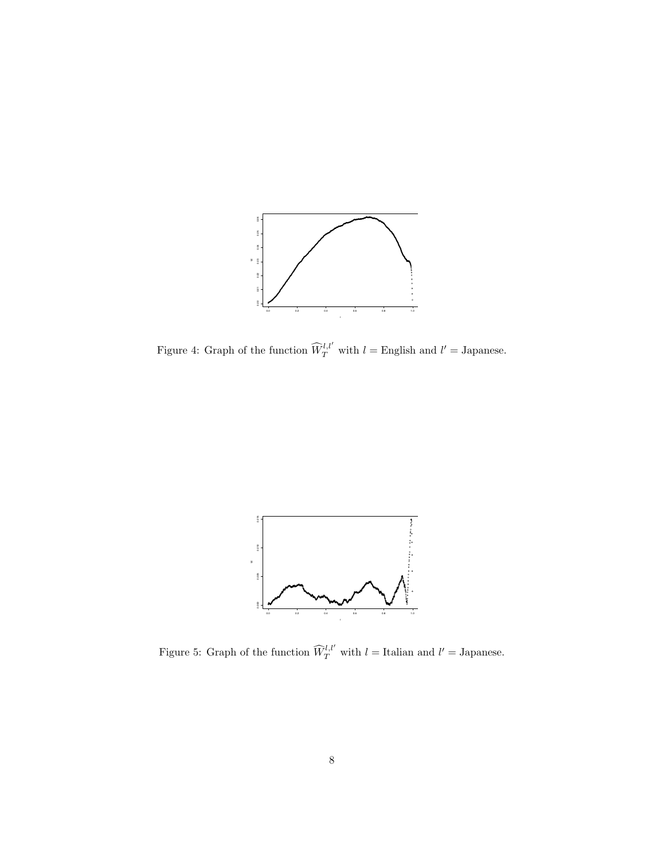

Figure 4: Graph of the function  $\widehat{W}_{T}^{l,l'}$  with  $l =$  English and  $l' =$  Japanese.



Figure 5: Graph of the function  $\widehat{W}^{l,l'}_{T}$  with  $l =$  Italian and  $l' =$  Japanese.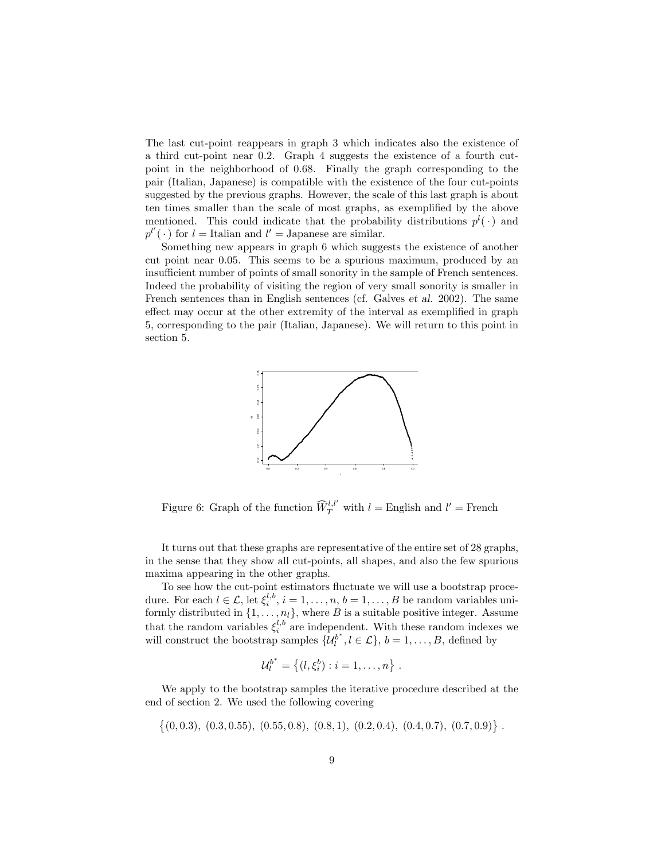The last cut-point reappears in graph 3 which indicates also the existence of a third cut-point near 0.2. Graph 4 suggests the existence of a fourth cutpoint in the neighborhood of 0.68. Finally the graph corresponding to the pair (Italian, Japanese) is compatible with the existence of the four cut-points suggested by the previous graphs. However, the scale of this last graph is about ten times smaller than the scale of most graphs, as exemplified by the above mentioned. This could indicate that the probability distributions  $p^{l}(\cdot)$  and  $p^{l'}(\cdot)$  for  $l =$  Italian and  $l' =$  Japanese are similar.

Something new appears in graph 6 which suggests the existence of another cut point near 0.05. This seems to be a spurious maximum, produced by an insufficient number of points of small sonority in the sample of French sentences. Indeed the probability of visiting the region of very small sonority is smaller in French sentences than in English sentences (cf. Galves et al. 2002). The same effect may occur at the other extremity of the interval as exemplified in graph 5, corresponding to the pair (Italian, Japanese). We will return to this point in section 5.



Figure 6: Graph of the function  $\widehat{W}_T^{l,l'}$  with  $l =$  English and  $l' =$  French

It turns out that these graphs are representative of the entire set of 28 graphs, in the sense that they show all cut-points, all shapes, and also the few spurious maxima appearing in the other graphs.

To see how the cut-point estimators fluctuate we will use a bootstrap procedure. For each  $l \in \mathcal{L}$ , let  $\xi_i^{l,b}, i = 1, \ldots, n, b = 1, \ldots, B$  be random variables uniformly distributed in  $\{1, \ldots, n_l\}$ , where B is a suitable positive integer. Assume that the random variables  $\xi_i^{l,b}$  are independent. With these random indexes we will construct the bootstrap samples  $\{\mathcal{U}_l^{b^*}, l \in \mathcal{L}\}, b = 1, \ldots, B$ , defined by

$$
\mathcal{U}_l^{b^*} = \{(l, \xi_i^b) : i = 1, \dots, n\}.
$$

We apply to the bootstrap samples the iterative procedure described at the end of section 2. We used the following covering

$$
\{(0,0.3), (0.3,0.55), (0.55,0.8), (0.8,1), (0.2,0.4), (0.4,0.7), (0.7,0.9)\}.
$$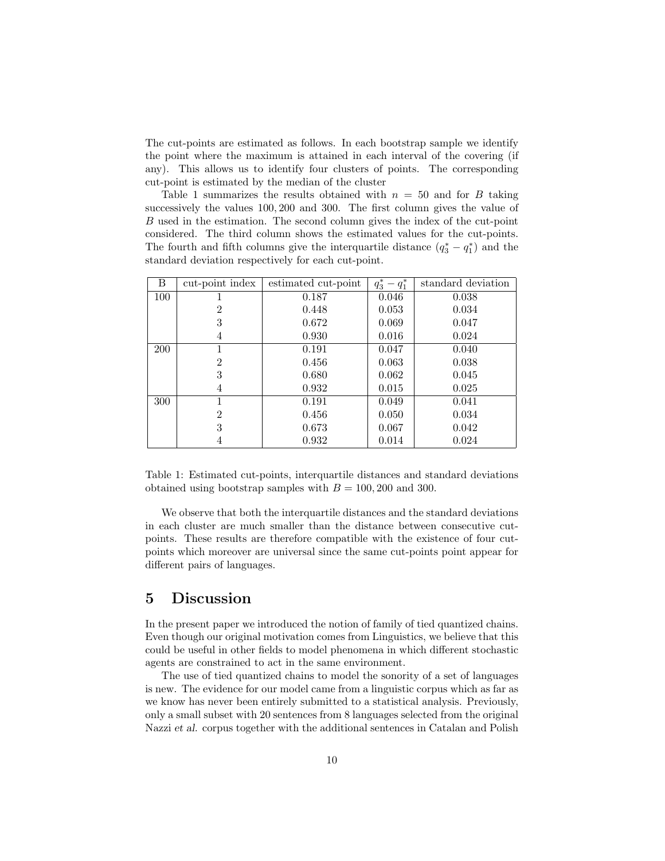The cut-points are estimated as follows. In each bootstrap sample we identify the point where the maximum is attained in each interval of the covering (if any). This allows us to identify four clusters of points. The corresponding cut-point is estimated by the median of the cluster

Table 1 summarizes the results obtained with  $n = 50$  and for B taking successively the values 100, 200 and 300. The first column gives the value of B used in the estimation. The second column gives the index of the cut-point considered. The third column shows the estimated values for the cut-points. The fourth and fifth columns give the interquartile distance  $(q_3^* - q_1^*)$  and the standard deviation respectively for each cut-point.

| B          | cut-point index | estimated cut-point | $q_3^* - q_1^*$ | standard deviation |
|------------|-----------------|---------------------|-----------------|--------------------|
| 100        |                 | 0.187               | 0.046           | 0.038              |
|            | 2               | 0.448               | 0.053           | 0.034              |
|            | 3               | 0.672               | 0.069           | 0.047              |
|            | 4               | 0.930               | 0.016           | 0.024              |
| <b>200</b> |                 | 0.191               | 0.047           | 0.040              |
|            | 2               | 0.456               | 0.063           | 0.038              |
|            | 3               | 0.680               | 0.062           | 0.045              |
|            | 4               | 0.932               | 0.015           | 0.025              |
| 300        |                 | 0.191               | 0.049           | 0.041              |
|            | $\overline{2}$  | 0.456               | 0.050           | 0.034              |
|            | 3               | 0.673               | 0.067           | 0.042              |
|            | 4               | 0.932               | 0.014           | 0.024              |

Table 1: Estimated cut-points, interquartile distances and standard deviations obtained using bootstrap samples with  $B = 100, 200$  and 300.

We observe that both the interquartile distances and the standard deviations in each cluster are much smaller than the distance between consecutive cutpoints. These results are therefore compatible with the existence of four cutpoints which moreover are universal since the same cut-points point appear for different pairs of languages.

### 5 Discussion

In the present paper we introduced the notion of family of tied quantized chains. Even though our original motivation comes from Linguistics, we believe that this could be useful in other fields to model phenomena in which different stochastic agents are constrained to act in the same environment.

The use of tied quantized chains to model the sonority of a set of languages is new. The evidence for our model came from a linguistic corpus which as far as we know has never been entirely submitted to a statistical analysis. Previously, only a small subset with 20 sentences from 8 languages selected from the original Nazzi et al. corpus together with the additional sentences in Catalan and Polish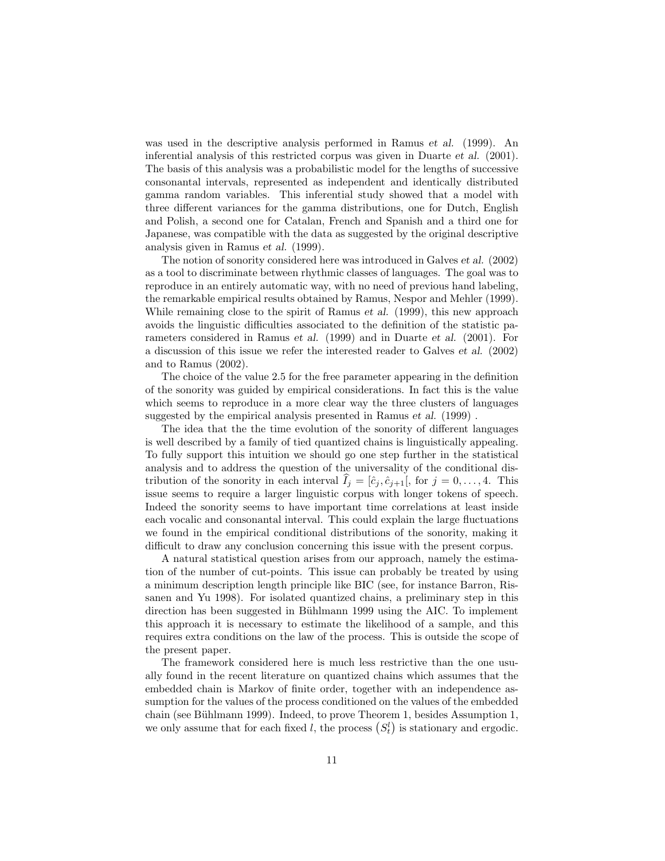was used in the descriptive analysis performed in Ramus et al. (1999). An inferential analysis of this restricted corpus was given in Duarte et al. (2001). The basis of this analysis was a probabilistic model for the lengths of successive consonantal intervals, represented as independent and identically distributed gamma random variables. This inferential study showed that a model with three different variances for the gamma distributions, one for Dutch, English and Polish, a second one for Catalan, French and Spanish and a third one for Japanese, was compatible with the data as suggested by the original descriptive analysis given in Ramus et al. (1999).

The notion of sonority considered here was introduced in Galves et al. (2002) as a tool to discriminate between rhythmic classes of languages. The goal was to reproduce in an entirely automatic way, with no need of previous hand labeling, the remarkable empirical results obtained by Ramus, Nespor and Mehler (1999). While remaining close to the spirit of Ramus *et al.* (1999), this new approach avoids the linguistic difficulties associated to the definition of the statistic parameters considered in Ramus et al. (1999) and in Duarte et al. (2001). For a discussion of this issue we refer the interested reader to Galves et al. (2002) and to Ramus (2002).

The choice of the value 2.5 for the free parameter appearing in the definition of the sonority was guided by empirical considerations. In fact this is the value which seems to reproduce in a more clear way the three clusters of languages suggested by the empirical analysis presented in Ramus et al. (1999) .

The idea that the the time evolution of the sonority of different languages is well described by a family of tied quantized chains is linguistically appealing. To fully support this intuition we should go one step further in the statistical analysis and to address the question of the universality of the conditional distribution of the sonority in each interval  $\hat{I}_j = [\hat{c}_j, \hat{c}_{j+1}],$  for  $j = 0, \ldots, 4$ . This issue seems to require a larger linguistic corpus with longer tokens of speech. Indeed the sonority seems to have important time correlations at least inside each vocalic and consonantal interval. This could explain the large fluctuations we found in the empirical conditional distributions of the sonority, making it difficult to draw any conclusion concerning this issue with the present corpus.

A natural statistical question arises from our approach, namely the estimation of the number of cut-points. This issue can probably be treated by using a minimum description length principle like BIC (see, for instance Barron, Rissanen and Yu 1998). For isolated quantized chains, a preliminary step in this direction has been suggested in Bühlmann 1999 using the AIC. To implement this approach it is necessary to estimate the likelihood of a sample, and this requires extra conditions on the law of the process. This is outside the scope of the present paper.

The framework considered here is much less restrictive than the one usually found in the recent literature on quantized chains which assumes that the embedded chain is Markov of finite order, together with an independence assumption for the values of the process conditioned on the values of the embedded chain (see Bühlmann 1999). Indeed, to prove Theorem 1, besides Assumption 1, we only assume that for each fixed l, the process  $(S_t^l)$  is stationary and ergodic.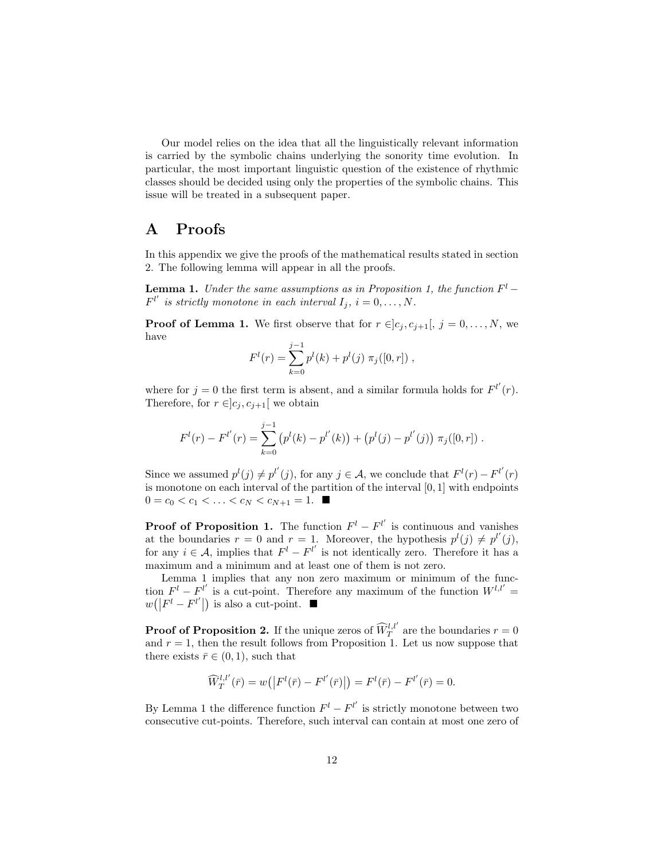Our model relies on the idea that all the linguistically relevant information is carried by the symbolic chains underlying the sonority time evolution. In particular, the most important linguistic question of the existence of rhythmic classes should be decided using only the properties of the symbolic chains. This issue will be treated in a subsequent paper.

## A Proofs

In this appendix we give the proofs of the mathematical results stated in section 2. The following lemma will appear in all the proofs.

**Lemma 1.** Under the same assumptions as in Proposition 1, the function  $F^l$  –  $F^{l'}$  is strictly monotone in each interval  $I_j$ ,  $i = 0, \ldots, N$ .

**Proof of Lemma 1.** We first observe that for  $r \in ]c_i, c_{i+1}|, j = 0, \ldots, N$ , we have

$$
F^{l}(r) = \sum_{k=0}^{j-1} p^{l}(k) + p^{l}(j) \pi_{j}([0, r]),
$$

where for  $j = 0$  the first term is absent, and a similar formula holds for  $F^{l'}(r)$ . Therefore, for  $r \in ]c_i, c_{i+1}[$  we obtain

$$
F^{l}(r) - F^{l'}(r) = \sum_{k=0}^{j-1} (p^{l}(k) - p^{l'}(k)) + (p^{l}(j) - p^{l'}(j)) \pi_{j}([0, r]) .
$$

Since we assumed  $p^{l}(j) \neq p^{l'}(j)$ , for any  $j \in A$ , we conclude that  $F^{l}(r) - F^{l'}(r)$ is monotone on each interval of the partition of the interval  $[0, 1]$  with endpoints  $0 = c_0 < c_1 < \ldots < c_N < c_{N+1} = 1.$ 

**Proof of Proposition 1.** The function  $F^l - F^{l'}$  is continuous and vanishes at the boundaries  $r = 0$  and  $r = 1$ . Moreover, the hypothesis  $p^{l}(j) \neq p^{l'}(j)$ , for any  $i \in \mathcal{A}$ , implies that  $F^l - F^{l'}$  is not identically zero. Therefore it has a maximum and a minimum and at least one of them is not zero.

Lemma 1 implies that any non zero maximum or minimum of the function  $F^{l} - F^{l'}$  is a cut-point. Therefore any maximum of the function  $W^{l,l'} =$  $w(|F^{l} - F^{l'}|)$  is also a cut-point.  $\blacksquare$ 

**Proof of Proposition 2.** If the unique zeros of  $\widehat{W}_T^{l,l'}$  are the boundaries  $r = 0$ and  $r = 1$ , then the result follows from Proposition 1. Let us now suppose that there exists  $\bar{r} \in (0, 1)$ , such that

$$
\widehat{W}^{l,l'}_{T}(\bar{r}) = w(|F^l(\bar{r}) - F^{l'}(\bar{r})|) = F^l(\bar{r}) - F^{l'}(\bar{r}) = 0.
$$

By Lemma 1 the difference function  $F^{l} - F^{l'}$  is strictly monotone between two consecutive cut-points. Therefore, such interval can contain at most one zero of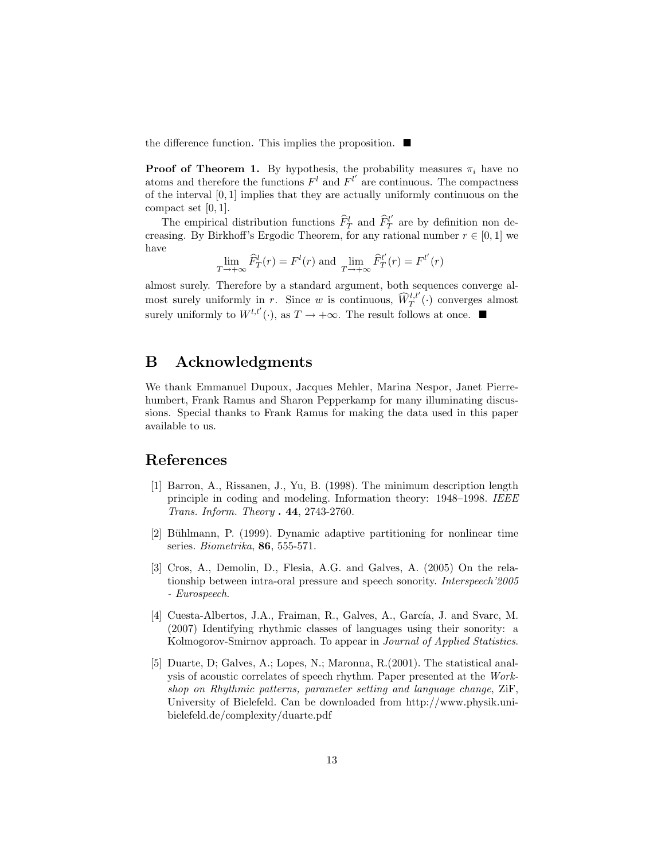the difference function. This implies the proposition.  $\blacksquare$ 

**Proof of Theorem 1.** By hypothesis, the probability measures  $\pi_i$  have no atoms and therefore the functions  $F<sup>l</sup>$  and  $F<sup>l'</sup>$  are continuous. The compactness of the interval [0, 1] implies that they are actually uniformly continuous on the compact set [0, 1].

The empirical distribution functions  $\widehat{F}_T^l$  and  $\widehat{F}_T^{l'}$  are by definition non decreasing. By Birkhoff's Ergodic Theorem, for any rational number  $r \in [0, 1]$  we have

$$
\lim_{T \to +\infty} \widehat{F}_T^l(r) = F^l(r)
$$
 and 
$$
\lim_{T \to +\infty} \widehat{F}_T^{l'}(r) = F^{l'}(r)
$$

almost surely. Therefore by a standard argument, both sequences converge almost surely uniformly in r. Since w is continuous,  $\widehat{W}^{l,l'}_{T}(\cdot)$  converges almost surely uniformly to  $W^{l,l'}(\cdot)$ , as  $T \to +\infty$ . The result follows at once.

### B Acknowledgments

We thank Emmanuel Dupoux, Jacques Mehler, Marina Nespor, Janet Pierrehumbert, Frank Ramus and Sharon Pepperkamp for many illuminating discussions. Special thanks to Frank Ramus for making the data used in this paper available to us.

### References

- [1] Barron, A., Rissanen, J., Yu, B. (1998). The minimum description length principle in coding and modeling. Information theory: 1948–1998. IEEE Trans. Inform. Theory . 44, 2743-2760.
- [2] Bühlmann, P. (1999). Dynamic adaptive partitioning for nonlinear time series. Biometrika, 86, 555-571.
- [3] Cros, A., Demolin, D., Flesia, A.G. and Galves, A. (2005) On the relationship between intra-oral pressure and speech sonority. Interspeech'2005 - Eurospeech.
- [4] Cuesta-Albertos, J.A., Fraiman, R., Galves, A., García, J. and Svarc, M. (2007) Identifying rhythmic classes of languages using their sonority: a Kolmogorov-Smirnov approach. To appear in Journal of Applied Statistics.
- [5] Duarte, D; Galves, A.; Lopes, N.; Maronna, R.(2001). The statistical analysis of acoustic correlates of speech rhythm. Paper presented at the Workshop on Rhythmic patterns, parameter setting and language change, ZiF, University of Bielefeld. Can be downloaded from http://www.physik.unibielefeld.de/complexity/duarte.pdf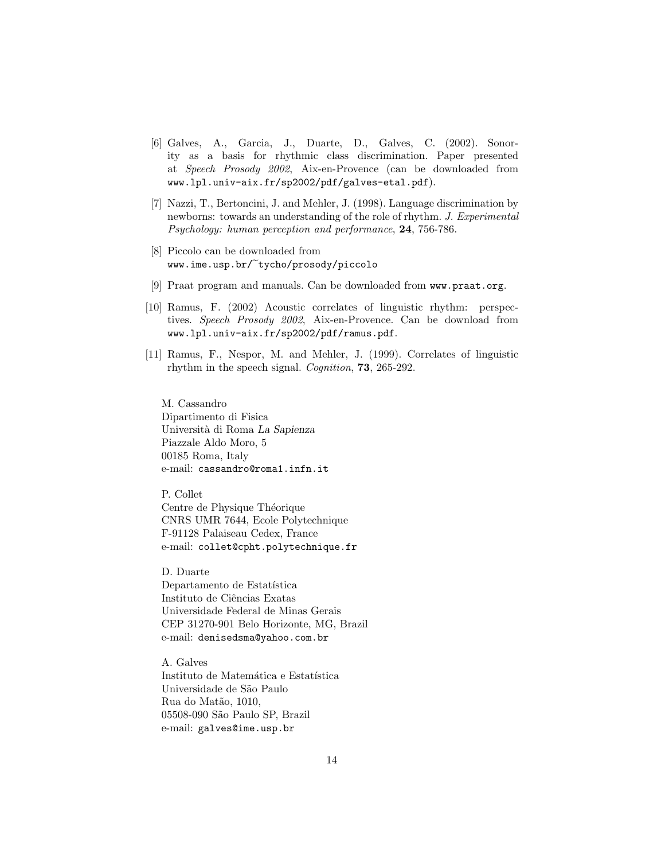- [6] Galves, A., Garcia, J., Duarte, D., Galves, C. (2002). Sonority as a basis for rhythmic class discrimination. Paper presented at Speech Prosody 2002, Aix-en-Provence (can be downloaded from www.lpl.univ-aix.fr/sp2002/pdf/galves-etal.pdf).
- [7] Nazzi, T., Bertoncini, J. and Mehler, J. (1998). Language discrimination by newborns: towards an understanding of the role of rhythm. J. Experimental Psychology: human perception and performance, 24, 756-786.
- [8] Piccolo can be downloaded from www.ime.usp.br/ tycho/prosody/piccolo
- [9] Praat program and manuals. Can be downloaded from www.praat.org.
- [10] Ramus, F. (2002) Acoustic correlates of linguistic rhythm: perspectives. Speech Prosody 2002, Aix-en-Provence. Can be download from www.lpl.univ-aix.fr/sp2002/pdf/ramus.pdf.
- [11] Ramus, F., Nespor, M. and Mehler, J. (1999). Correlates of linguistic rhythm in the speech signal. Cognition, 73, 265-292.

M. Cassandro Dipartimento di Fisica Universit`a di Roma La Sapienza Piazzale Aldo Moro, 5 00185 Roma, Italy e-mail: cassandro@roma1.infn.it

P. Collet Centre de Physique Théorique CNRS UMR 7644, Ecole Polytechnique F-91128 Palaiseau Cedex, France e-mail: collet@cpht.polytechnique.fr

D. Duarte Departamento de Estatística Instituto de Ciências Exatas Universidade Federal de Minas Gerais CEP 31270-901 Belo Horizonte, MG, Brazil e-mail: denisedsma@yahoo.com.br

A. Galves Instituto de Matemática e Estatística Universidade de S˜ao Paulo Rua do Matão, 1010, 05508-090 S˜ao Paulo SP, Brazil e-mail: galves@ime.usp.br